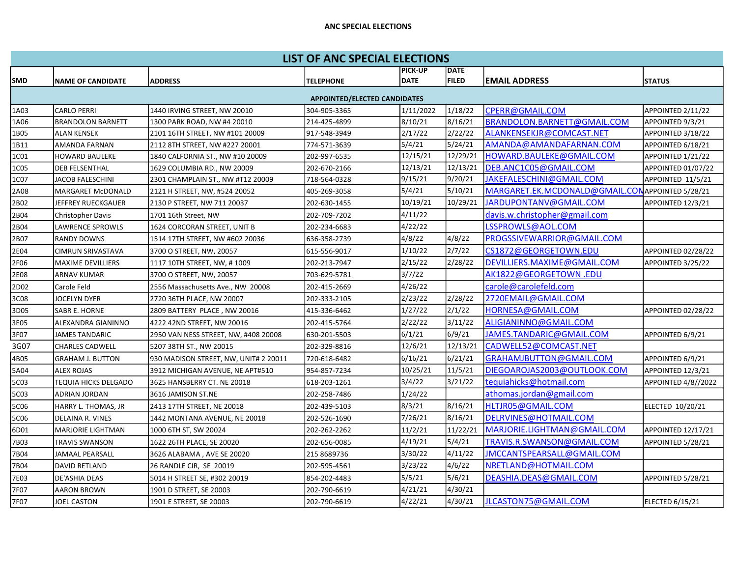## ANC SPECIAL ELECTIONS

| <b>LIST OF ANC SPECIAL ELECTIONS</b> |                          |                                       |                  |                |              |                                                  |                     |  |  |  |  |
|--------------------------------------|--------------------------|---------------------------------------|------------------|----------------|--------------|--------------------------------------------------|---------------------|--|--|--|--|
|                                      |                          |                                       |                  | <b>PICK-UP</b> | <b>DATE</b>  |                                                  |                     |  |  |  |  |
| SMD                                  | <b>NAME OF CANDIDATE</b> | <b>ADDRESS</b>                        | <b>TELEPHONE</b> | <b>DATE</b>    | <b>FILED</b> | <b>EMAIL ADDRESS</b>                             | <b>STATUS</b>       |  |  |  |  |
| <b>APPOINTED/ELECTED CANDIDATES</b>  |                          |                                       |                  |                |              |                                                  |                     |  |  |  |  |
| 1A03                                 | <b>CARLO PERRI</b>       | 1440 IRVING STREET, NW 20010          | 304-905-3365     | 1/11/2022      | 1/18/22      | CPERR@GMAIL.COM                                  | APPOINTED 2/11/22   |  |  |  |  |
| 1A06                                 | <b>BRANDOLON BARNETT</b> | 1300 PARK ROAD, NW #4 20010           | 214-425-4899     | 8/10/21        | 8/16/21      | BRANDOLON.BARNETT@GMAIL.COM                      | APPOINTED 9/3/21    |  |  |  |  |
| 1B05                                 | <b>ALAN KENSEK</b>       | 2101 16TH STREET, NW #101 20009       | 917-548-3949     | 2/17/22        | 2/22/22      | ALANKENSEKJR@COMCAST.NET                         | APPOINTED 3/18/22   |  |  |  |  |
| 1B11                                 | <b>AMANDA FARNAN</b>     | 2112 8TH STREET, NW #227 20001        | 774-571-3639     | 5/4/21         | 5/24/21      | AMANDA@AMANDAFARNAN.COM                          | APPOINTED 6/18/21   |  |  |  |  |
| 1C01                                 | <b>HOWARD BAULEKE</b>    | 1840 CALFORNIA ST., NW #10 20009      | 202-997-6535     | 12/15/21       | 12/29/21     | HOWARD.BAULEKE@GMAIL.COM                         | APPOINTED 1/21/22   |  |  |  |  |
| 1C05                                 | <b>DEB FELSENTHAL</b>    | 1629 COLUMBIA RD., NW 20009           | 202-670-2166     | 12/13/21       | 12/13/21     | DEB.ANC1C05@GMAIL.COM                            | APPOINTED 01/07/22  |  |  |  |  |
| 1C07                                 | JACOB FALESCHINI         | 2301 CHAMPLAIN ST., NW #T12 20009     | 718-564-0328     | 9/15/21        | 9/20/21      | JAKEFALESCHINI@GMAIL.COM                         | APPOINTED 11/5/21   |  |  |  |  |
| 2A08                                 | MARGARET McDONALD        | 2121 H STREET, NW, #524 20052         | 405-269-3058     | 5/4/21         | 5/10/21      | MARGARET.EK.MCDONALD@GMAIL.CON APPOINTED 5/28/21 |                     |  |  |  |  |
| 2B02                                 | JEFFREY RUECKGAUER       | 2130 P STREET, NW 711 20037           | 202-630-1455     | 10/19/21       | 10/29/21     | JARDUPONTANV@GMAIL.COM                           | APPOINTED 12/3/21   |  |  |  |  |
| 2B04                                 | <b>Christopher Davis</b> | 1701 16th Street, NW                  | 202-709-7202     | 4/11/22        |              | davis.w.christopher@gmail.com                    |                     |  |  |  |  |
| 2B04                                 | LAWRENCE SPROWLS         | 1624 CORCORAN STREET, UNIT B          | 202-234-6683     | 4/22/22        |              | LSSPROWLS@AOL.COM                                |                     |  |  |  |  |
| 2B07                                 | <b>RANDY DOWNS</b>       | 1514 17TH STREET, NW #602 20036       | 636-358-2739     | 4/8/22         | 4/8/22       | PROGSSIVEWARRIOR@GMAIL.COM                       |                     |  |  |  |  |
| 2E04                                 | <b>CIMRUN SRIVASTAVA</b> | 3700 O STREET, NW, 20057              | 615-556-9017     | 1/10/22        | 2/7/22       | CS1872@GEORGETOWN.EDU                            | APPOINTED 02/28/22  |  |  |  |  |
| 2F06                                 | <b>MAXIME DEVILLIERS</b> | 1117 10TH STREET, NW, #1009           | 202-213-7947     | 2/15/22        | 2/28/22      | DEVILLIERS.MAXIME@GMAIL.COM                      | APPOINTED 3/25/22   |  |  |  |  |
| 2E08                                 | <b>ARNAV KUMAR</b>       | 3700 O STREET, NW, 20057              | 703-629-5781     | 3/7/22         |              | AK1822@GEORGETOWN.EDU                            |                     |  |  |  |  |
| 2D02                                 | Carole Feld              | 2556 Massachusetts Ave., NW 20008     | 202-415-2669     | 4/26/22        |              | carole@carolefeld.com                            |                     |  |  |  |  |
| 3C08                                 | JOCELYN DYER             | 2720 36TH PLACE, NW 20007             | 202-333-2105     | 2/23/22        | 2/28/22      | 2720EMAIL@GMAIL.COM                              |                     |  |  |  |  |
| 3D05                                 | <b>SABR E. HORNE</b>     | 2809 BATTERY PLACE, NW 20016          | 415-336-6462     | 1/27/22        | 2/1/22       | HORNESA@GMAIL.COM                                | APPOINTED 02/28/22  |  |  |  |  |
| 3E05                                 | ALEXANDRA GIANINNO       | 4222 42ND STREET, NW 20016            | 202-415-5764     | 2/22/22        | 3/11/22      | ALIGIANINNO@GMAIL.COM                            |                     |  |  |  |  |
| 3F07                                 | <b>JAMES TANDARIC</b>    | 2950 VAN NESS STREET, NW, #408 20008  | 630-201-5503     | 6/1/21         | 6/9/21       | JAMES.TANDARIC@GMAIL.COM                         | APPOINTED 6/9/21    |  |  |  |  |
| 3G07                                 | <b>CHARLES CADWELL</b>   | 5207 38TH ST., NW 20015               | 202-329-8816     | 12/6/21        | 12/13/21     | CADWELL52@COMCAST.NET                            |                     |  |  |  |  |
| 4B05                                 | <b>GRAHAM J. BUTTON</b>  | 930 MADISON STREET, NW, UNIT# 2 20011 | 720-618-6482     | 6/16/21        | 6/21/21      | GRAHAMJBUTTON@GMAIL.COM                          | APPOINTED 6/9/21    |  |  |  |  |
| 5A04                                 | <b>ALEX ROJAS</b>        | 3912 MICHIGAN AVENUE, NE APT#510      | 954-857-7234     | 10/25/21       | 11/5/21      | DIEGOAROJAS2003@OUTLOOK.COM                      | APPOINTED 12/3/21   |  |  |  |  |
| 5C03                                 | TEQUIA HICKS DELGADO     | 3625 HANSBERRY CT. NE 20018           | 618-203-1261     | 3/4/22         | 3/21/22      | tequiahicks@hotmail.com                          | APPOINTED 4/8//2022 |  |  |  |  |
| 5C03                                 | ADRIAN JORDAN            | 3616 JAMISON ST.NE                    | 202-258-7486     | 1/24/22        |              | athomas.jordan@gmail.com                         |                     |  |  |  |  |
| 5C06                                 | HARRY L. THOMAS, JR      | 2413 17TH STREET, NE 20018            | 202-439-5103     | 8/3/21         | 8/16/21      | HLTJR05@GMAIL.COM                                | ELECTED 10/20/21    |  |  |  |  |
| 5C06                                 | DELAINA R. VINES         | 1442 MONTANA AVENUE, NE 20018         | 202-526-1690     | 7/26/21        | 8/16/21      | DELRVINES@HOTMAIL.COM                            |                     |  |  |  |  |
| 6D01                                 | <b>MARJORIE LIGHTMAN</b> | 1000 6TH ST, SW 20024                 | 202-262-2262     | 11/2/21        | 11/22/21     | MARJORIE.LIGHTMAN@GMAIL.COM                      | APPOINTED 12/17/21  |  |  |  |  |
| 7B03                                 | TRAVIS SWANSON           | 1622 26TH PLACE, SE 20020             | 202-656-0085     | 4/19/21        | 5/4/21       | TRAVIS.R.SWANSON@GMAIL.COM                       | APPOINTED 5/28/21   |  |  |  |  |
| 7B04                                 | JAMAAL PEARSALL          | 3626 ALABAMA, AVE SE 20020            | 215 8689736      | 3/30/22        | 4/11/22      | JMCCANTSPEARSALL@GMAIL.COM                       |                     |  |  |  |  |
| 7B04                                 | <b>DAVID RETLAND</b>     | 26 RANDLE CIR, SE 20019               | 202-595-4561     | 3/23/22        | 4/6/22       | NRETLAND@HOTMAIL.COM                             |                     |  |  |  |  |
| 7E03                                 | DE'ASHIA DEAS            | 5014 H STREET SE, #302 20019          | 854-202-4483     | 5/5/21         | 5/6/21       | DEASHIA.DEAS@GMAIL.COM                           | APPOINTED 5/28/21   |  |  |  |  |
| 7F07                                 | AARON BROWN              | 1901 D STREET, SE 20003               | 202-790-6619     | 4/21/21        | 4/30/21      |                                                  |                     |  |  |  |  |
| 7F07                                 | <b>JOEL CASTON</b>       | 1901 E STREET, SE 20003               | 202-790-6619     | 4/22/21        | 4/30/21      | JLCASTON75@GMAIL.COM                             | ELECTED 6/15/21     |  |  |  |  |